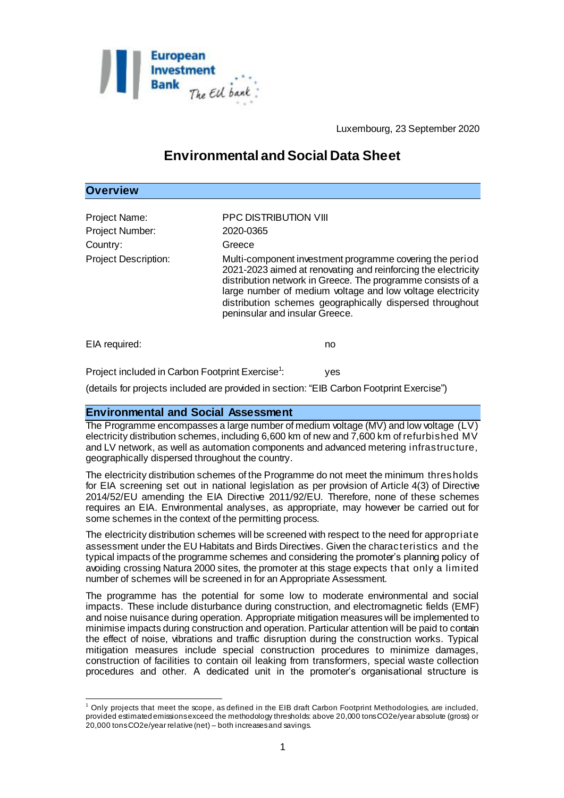

Luxembourg, 23 September 2020

# **Environmental and Social Data Sheet**

## **Overview**

| Project Name:<br>Project Number:<br>Country:           | <b>PPC DISTRIBUTION VIII</b><br>2020-0365<br>Greece                                                                                                                                                                                                                                                                                                  |
|--------------------------------------------------------|------------------------------------------------------------------------------------------------------------------------------------------------------------------------------------------------------------------------------------------------------------------------------------------------------------------------------------------------------|
| <b>Project Description:</b>                            | Multi-component investment programme covering the period<br>2021-2023 aimed at renovating and reinforcing the electricity<br>distribution network in Greece. The programme consists of a<br>large number of medium voltage and low voltage electricity<br>distribution schemes geographically dispersed throughout<br>peninsular and insular Greece. |
| EIA required:                                          | no                                                                                                                                                                                                                                                                                                                                                   |
| Daste et la chade d'in Ocale en Es eta dat Essenato de |                                                                                                                                                                                                                                                                                                                                                      |

Project included in Carbon Footprint Exercise<sup>1</sup>: : yes

(details for projects included are provided in section: "EIB Carbon Footprint Exercise")

## **Environmental and Social Assessment**

The Programme encompasses a large number of medium voltage (MV) and low voltage (LV) electricity distribution schemes, including 6,600 km of new and 7,600 km of refurbished MV and LV network, as well as automation components and advanced metering infrastructure, geographically dispersed throughout the country.

The electricity distribution schemes of the Programme do not meet the minimum thresholds for EIA screening set out in national legislation as per provision of Article 4(3) of Directive 2014/52/EU amending the EIA Directive 2011/92/EU. Therefore, none of these schemes requires an EIA. Environmental analyses, as appropriate, may however be carried out for some schemes in the context of the permitting process.

The electricity distribution schemes will be screened with respect to the need for appropriate assessment under the EU Habitats and Birds Directives. Given the characteristics and the typical impacts of the programme schemes and considering the promoter's planning policy of avoiding crossing Natura 2000 sites, the promoter at this stage expects that only a limited number of schemes will be screened in for an Appropriate Assessment.

The programme has the potential for some low to moderate environmental and social impacts. These include disturbance during construction, and electromagnetic fields (EMF) and noise nuisance during operation. Appropriate mitigation measures will be implemented to minimise impacts during construction and operation. Particular attention will be paid to contain the effect of noise, vibrations and traffic disruption during the construction works. Typical mitigation measures include special construction procedures to minimize damages, construction of facilities to contain oil leaking from transformers, special waste collection procedures and other. A dedicated unit in the promoter's organisational structure is

l  $1$  Only projects that meet the scope, as defined in the EIB draft Carbon Footprint Methodologies, are included, provided estimated emissions exceed the methodology thresholds: above 20,000 tons CO2e/year absolute (gross) or 20,000 tons CO2e/year relative (net) – both increases and savings.